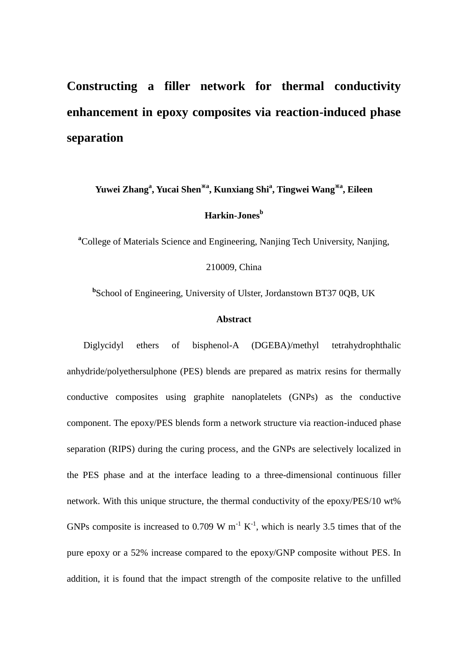# **Constructing a filler network for thermal conductivity enhancement in epoxy composites via reaction-induced phase separation**

**Yuwei Zhang<sup>a</sup> , Yucai Shen**※**<sup>a</sup> , Kunxiang Shi<sup>a</sup> , Tingwei Wang**※**<sup>a</sup> , Eileen Harkin-Jones<sup>b</sup>**

**<sup>a</sup>**College of Materials Science and Engineering, Nanjing Tech University, Nanjing,

210009, China

**b** School of Engineering, University of Ulster, Jordanstown BT37 0QB, UK

#### **Abstract**

Diglycidyl ethers of bisphenol-A (DGEBA)/methyl tetrahydrophthalic anhydride/polyethersulphone (PES) blends are prepared as matrix resins for thermally conductive composites using graphite nanoplatelets (GNPs) as the conductive component. The epoxy/PES blends form a network structure via reaction-induced phase separation (RIPS) during the curing process, and the GNPs are selectively localized in the PES phase and at the interface leading to a three-dimensional continuous filler network. With this unique structure, the thermal conductivity of the epoxy/PES/10 wt% GNPs composite is increased to 0.709 W  $m^{-1} K^{-1}$ , which is nearly 3.5 times that of the pure epoxy or a 52% increase compared to the epoxy/GNP composite without PES. In addition, it is found that the impact strength of the composite relative to the unfilled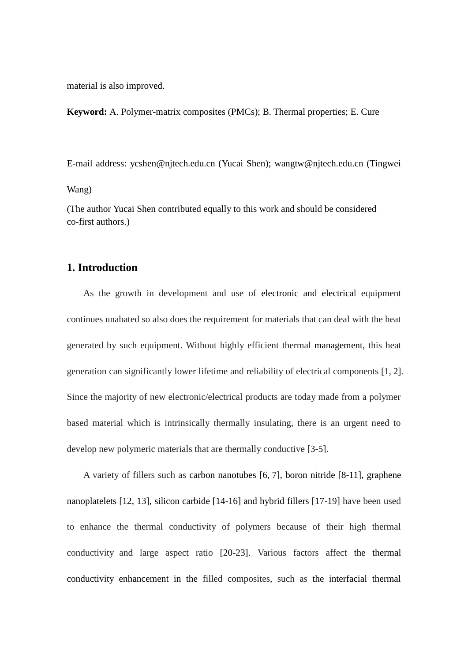material is also improved.

**Keyword:** A. Polymer-matrix composites (PMCs); B. Thermal properties; E. Cure

E-mail address: ycshen@njtech.edu.cn (Yucai Shen); wangtw@njtech.edu.cn (Tingwei

Wang)

(The author Yucai Shen contributed equally to this work and should be considered co-first authors.)

# **1. Introduction**

As the growth in development and use of electronic and electrical equipment continues unabated so also does the requirement for materials that can deal with the heat generated by such equipment. Without highly efficient thermal management, this heat generation can significantly lower lifetime and reliability of electrical components [1, 2]. Since the majority of new electronic/electrical products are today made from a polymer based material which is intrinsically thermally insulating, there is an urgent need to develop new polymeric materials that are thermally conductive [3-5].

A variety of fillers such as carbon nanotubes [6, 7], boron nitride [8-11], graphene nanoplatelets [12, 13], silicon carbide [14-16] and hybrid fillers [17-19] have been used to enhance the thermal conductivity of polymers because of their high thermal conductivity and large aspect ratio [20-23]. Various factors affect the thermal conductivity enhancement in the filled composites, such as the interfacial thermal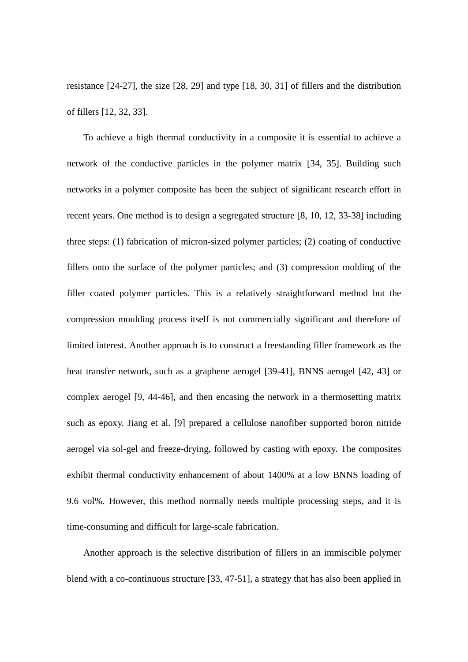resistance [24-27], the size [28, 29] and type [18, 30, 31] of fillers and the distribution of fillers [12, 32, 33].

To achieve a high thermal conductivity in a composite it is essential to achieve a network of the conductive particles in the polymer matrix [34, 35]. Building such networks in a polymer composite has been the subject of significant research effort in recent years. One method is to design a segregated structure [8, 10, 12, 33-38] including three steps: (1) fabrication of micron-sized polymer particles; (2) coating of conductive fillers onto the surface of the polymer particles; and (3) compression molding of the filler coated polymer particles. This is a relatively straightforward method but the compression moulding process itself is not commercially significant and therefore of limited interest. Another approach is to construct a freestanding filler framework as the heat transfer network, such as a graphene aerogel [39-41], BNNS aerogel [42, 43] or complex aerogel [9, 44-46], and then encasing the network in a thermosetting matrix such as epoxy. Jiang et al. [9] prepared a cellulose nanofiber supported boron nitride aerogel via sol-gel and freeze-drying, followed by casting with epoxy. The composites exhibit thermal conductivity enhancement of about 1400% at a low BNNS loading of 9.6 vol%. However, this method normally needs multiple processing steps, and it is time-consuming and difficult for large-scale fabrication.

Another approach is the selective distribution of fillers in an immiscible polymer blend with a co-continuous structure [33, 47-51], a strategy that has also been applied in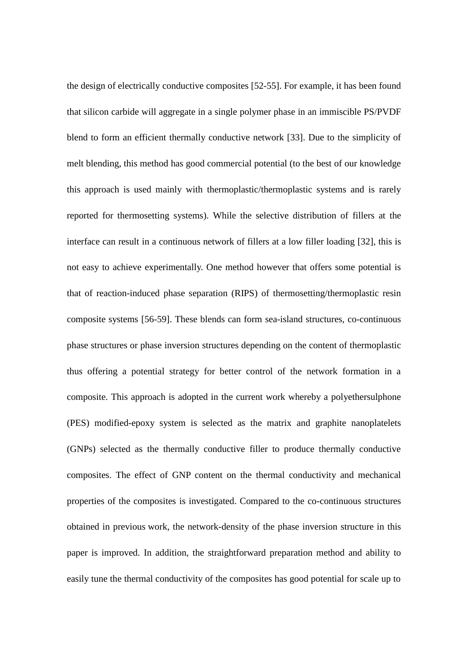the design of electrically conductive composites [52-55]. For example, it has been found that silicon carbide will aggregate in a single polymer phase in an immiscible PS/PVDF blend to form an efficient thermally conductive network [33]. Due to the simplicity of melt blending, this method has good commercial potential (to the best of our knowledge this approach is used mainly with thermoplastic/thermoplastic systems and is rarely reported for thermosetting systems). While the selective distribution of fillers at the interface can result in a continuous network of fillers at a low filler loading [32], this is not easy to achieve experimentally. One method however that offers some potential is that of reaction-induced phase separation (RIPS) of thermosetting/thermoplastic resin composite systems [56-59]. These blends can form sea-island structures, co-continuous phase structures or phase inversion structures depending on the content of thermoplastic thus offering a potential strategy for better control of the network formation in a composite. This approach is adopted in the current work whereby a polyethersulphone (PES) modified-epoxy system is selected as the matrix and graphite nanoplatelets (GNPs) selected as the thermally conductive filler to produce thermally conductive composites. The effect of GNP content on the thermal conductivity and mechanical properties of the composites is investigated. Compared to the co-continuous structures obtained in previous work, the network-density of the phase inversion structure in this paper is improved. In addition, the straightforward preparation method and ability to easily tune the thermal conductivity of the composites has good potential for scale up to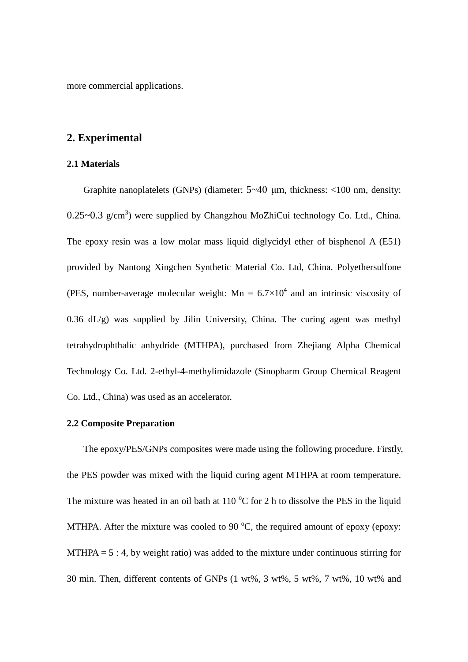more commercial applications.

# **2. Experimental**

## **2.1 Materials**

Graphite nanoplatelets (GNPs) (diameter: 5~40 μm, thickness: <100 nm, density:  $0.25 \sim 0.3$  g/cm<sup>3</sup>) were supplied by Changzhou MoZhiCui technology Co. Ltd., China. The epoxy resin was a low molar mass liquid diglycidyl ether of bisphenol A (E51) provided by Nantong Xingchen Synthetic Material Co. Ltd, China. Polyethersulfone (PES, number-average molecular weight:  $Mn = 6.7 \times 10^4$  and an intrinsic viscosity of 0.36 dL/g) was supplied by Jilin University, China. The curing agent was methyl tetrahydrophthalic anhydride (MTHPA), purchased from Zhejiang Alpha Chemical Technology Co. Ltd. 2-ethyl-4-methylimidazole (Sinopharm Group Chemical Reagent Co. Ltd., China) was used as an accelerator.

## **2.2 Composite Preparation**

The epoxy/PES/GNPs composites were made using the following procedure. Firstly, the PES powder was mixed with the liquid curing agent MTHPA at room temperature. The mixture was heated in an oil bath at  $110\text{ °C}$  for 2 h to dissolve the PES in the liquid MTHPA. After the mixture was cooled to 90  $^{\circ}$ C, the required amount of epoxy (epoxy:  $MTHPA = 5:4$ , by weight ratio) was added to the mixture under continuous stirring for 30 min. Then, different contents of GNPs (1 wt%, 3 wt%, 5 wt%, 7 wt%, 10 wt% and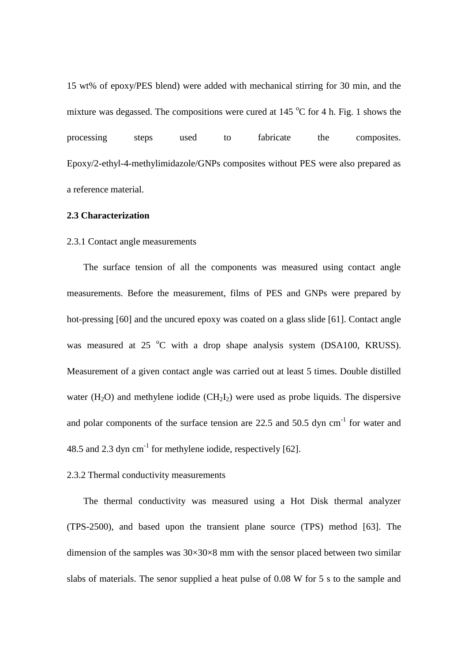15 wt% of epoxy/PES blend) were added with mechanical stirring for 30 min, and the mixture was degassed. The compositions were cured at 145  $^{\circ}$ C for 4 h. Fig. 1 shows the processing steps used to fabricate the composites. Epoxy/2-ethyl-4-methylimidazole/GNPs composites without PES were also prepared as a reference material.

## **2.3 Characterization**

## 2.3.1 Contact angle measurements

The surface tension of all the components was measured using contact angle measurements. Before the measurement, films of PES and GNPs were prepared by hot-pressing [60] and the uncured epoxy was coated on a [glass](file:///D:\Program%20Files%20(x86)\Dict\6.3.69.8341\resultui\frame\javascript:void(0);) [slide](file:///D:\Program%20Files%20(x86)\Dict\6.3.69.8341\resultui\frame\javascript:void(0);) [61]. Contact angle was measured at 25  $\degree$ C with a drop shape analysis system (DSA100, KRUSS). Measurement of a given contact angle was carried out at least 5 times. Double distilled water  $(H_2O)$  and methylene iodide  $(CH_2I_2)$  were used as probe liquids. The dispersive and polar components of the surface tension are  $22.5$  and  $50.5$  dyn cm<sup>-1</sup> for water and 48.5 and 2.3 dyn  $cm^{-1}$  for methylene iodide, respectively [62].

## 2.3.2 Thermal conductivity measurements

The thermal conductivity was measured using a Hot Disk thermal analyzer (TPS-2500), and based upon the transient plane source (TPS) method [63]. The dimension of the samples was  $30\times30\times8$  mm with the sensor placed between two similar slabs of materials. The senor supplied a heat pulse of 0.08 W for 5 s to the sample and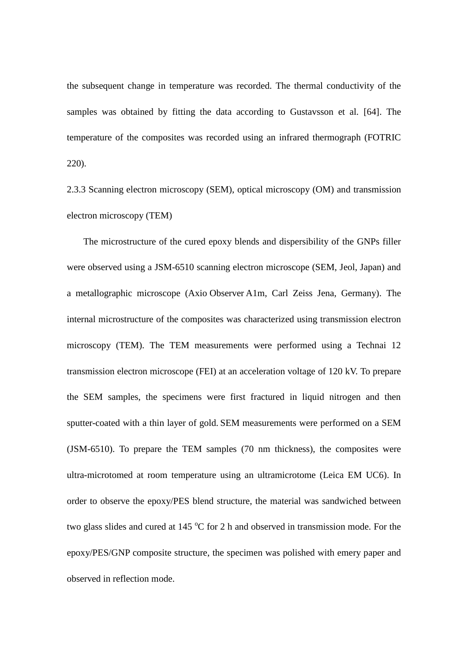the subsequent change in temperature was recorded. The thermal conductivity of the samples was obtained by fitting the data according to Gustavsson et al. [64]. The temperature of the composites was recorded using an infrared thermograph (FOTRIC 220).

2.3.3 Scanning electron microscopy (SEM), optical microscopy (OM) and transmission electron microscopy (TEM)

The microstructure of the cured epoxy blends and dispersibility of the GNPs filler were observed using a JSM-6510 scanning electron microscope (SEM, Jeol, Japan) and a metallographic microscope (Axio Observer A1m, Carl Zeiss Jena, Germany). The internal microstructure of the composites was characterized using transmission electron microscopy (TEM). The TEM measurements were performed using a Technai 12 transmission electron microscope (FEI) at an acceleration voltage of 120 kV. To prepare the SEM samples, the specimens were first fractured in liquid nitrogen and then sputter-coated with a thin layer of gold. SEM measurements were performed on a SEM (JSM-6510). To prepare the TEM samples (70 nm thickness), the composites were ultra-microtomed at room temperature using an ultramicrotome (Leica EM UC6). In order to observe the epoxy/PES blend structure, the material was sandwiched between two glass slides and cured at  $145\text{ °C}$  for 2 h and observed in transmission mode. For the epoxy/PES/GNP composite structure, the specimen was polished with emery paper and observed in reflection mode.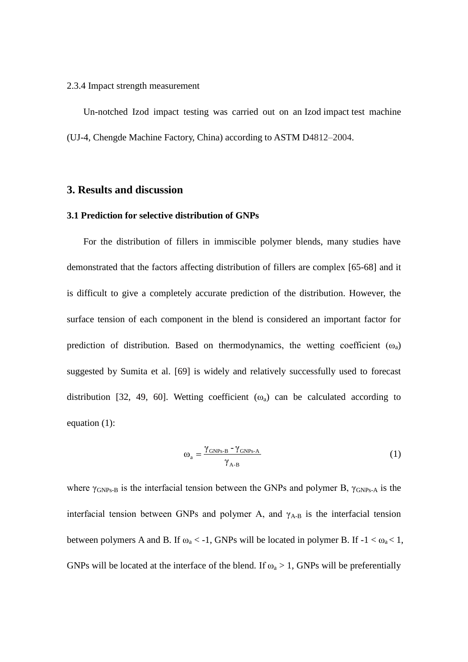#### 2.3.4 Impact strength measurement

Un-notched Izod impact testing was carried out on an Izod impact test machine (UJ-4, Chengde Machine Factory, China) according to ASTM D4812–2004.

# **3. Results and discussion**

## **3.1 Prediction for selective distribution of GNPs**

For the distribution of fillers in immiscible polymer blends, many studies have demonstrated that the factors affecting distribution of fillers are complex [65-68] and it is difficult to give a completely accurate prediction of the distribution. However, the surface tension of each component in the blend is considered an important factor for prediction of distribution. Based on thermodynamics, the wetting coefficient  $(\omega_a)$ suggested by Sumita et al. [69] is widely and relatively successfully used to forecast distribution [32, 49, 60]. Wetting coefficient  $(\omega_a)$  can be calculated according to equation (1):

$$
\omega_{a} = \frac{\gamma_{\text{GNPs-B}} - \gamma_{\text{GNPs-A}}}{\gamma_{\text{A-B}}} \tag{1}
$$

where  $\gamma_{\text{GNPs-B}}$  is the interfacial tension between the GNPs and polymer B,  $\gamma_{\text{GNPs-A}}$  is the interfacial tension between GNPs and polymer A, and  $\gamma_{A-B}$  is the interfacial tension between polymers A and B. If  $\omega_a < -1$ , GNPs will be located in polymer B. If  $-1 < \omega_a < 1$ , GNPs will be located at the interface of the blend. If  $\omega_a > 1$ , GNPs will be preferentially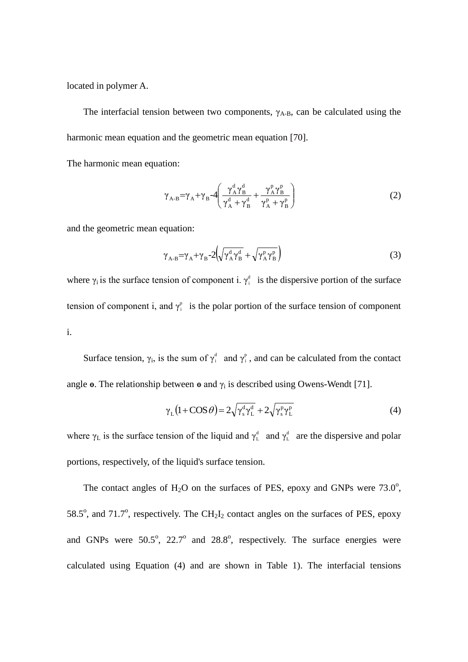located in polymer A.

The interfacial tension between two components,  $\gamma_{A-B}$ , can be calculated using the harmonic mean equation and the geometric mean equation [70].

The harmonic mean equation:

$$
\gamma_{A-B} = \gamma_A + \gamma_B - 4 \left( \frac{\gamma_A^d \gamma_B^d}{\gamma_A^d + \gamma_B^d} + \frac{\gamma_A^p \gamma_B^p}{\gamma_A^p + \gamma_B^p} \right) \tag{2}
$$

and the geometric mean equation:

$$
\gamma_{A-B} = \gamma_A + \gamma_B - 2\left(\sqrt{\gamma_A^d \gamma_B^d} + \sqrt{\gamma_A^p \gamma_B^p}\right)
$$
 (3)

where  $\gamma_i$  is the surface tension of component i.  $\gamma_i^d$  is the dispersive portion of the surface tension of component i, and  $\gamma_i^p$  is the polar portion of the surface tension of component i.

Surface tension,  $\gamma_i$ , is the sum of  $\gamma_i^d$  and  $\gamma_i^p$ , and can be calculated from the contact angle  $\Theta$ . The relationship between  $\Theta$  and  $\gamma_i$  is described using Owens-Wendt [71].

$$
\gamma_{\rm L} (1 + \cos \theta) = 2 \sqrt{\gamma_{\rm s}^{\rm d} \gamma_{\rm L}^{\rm d}} + 2 \sqrt{\gamma_{\rm s}^{\rm p} \gamma_{\rm L}^{\rm p}} \tag{4}
$$

where  $\gamma_L$  is the surface tension of the liquid and  $\gamma_L^d$  and  $\gamma_L^d$  are the dispersive and polar portions, respectively, of the liquid's surface tension.

The contact angles of  $H_2O$  on the surfaces of PES, epoxy and GNPs were 73.0°, 58.5 $^{\circ}$ , and 71.7 $^{\circ}$ , respectively. The CH<sub>2</sub>I<sub>2</sub> contact angles on the surfaces of PES, epoxy and GNPs were  $50.5^{\circ}$ ,  $22.7^{\circ}$  and  $28.8^{\circ}$ , respectively. The surface energies were calculated using Equation (4) and are shown in Table 1). The interfacial tensions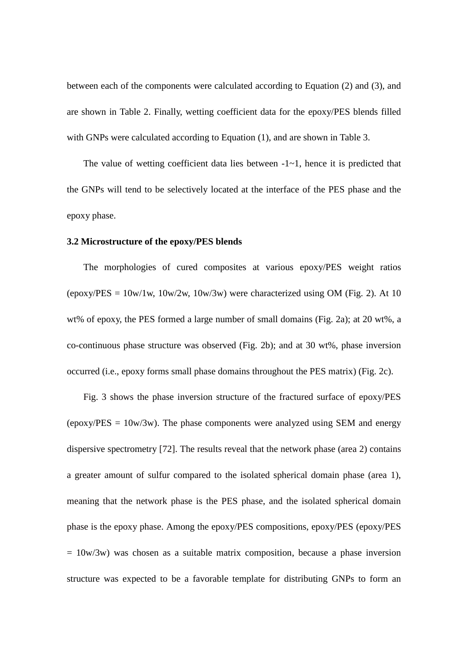between each of the components were calculated according to Equation (2) and (3), and are shown in Table 2. Finally, wetting coefficient data for the epoxy/PES blends filled with GNPs were calculated according to Equation (1), and are shown in Table 3.

The value of wetting coefficient data lies between  $-1$   $-1$ , hence it is predicted that the GNPs will tend to be selectively located at the interface of the PES phase and the epoxy phase.

#### **3.2 Microstructure of the epoxy/PES blends**

The morphologies of cured composites at various epoxy/PES weight ratios (epoxy/PES =  $10w/1w$ ,  $10w/2w$ ,  $10w/3w$ ) were characterized using OM (Fig. 2). At 10 wt% of epoxy, the PES formed a large number of small domains (Fig. 2a); at 20 wt%, a co-continuous phase structure was observed (Fig. 2b); and at 30 wt%, phase inversion occurred (i.e., epoxy forms small phase domains throughout the PES matrix) (Fig. 2c).

Fig. 3 shows the phase inversion structure of the fractured surface of epoxy/PES (epoxy/ $PES = 10w/3w$ ). The phase components were analyzed using SEM and energy dispersive spectrometry [72]. The results reveal that the network phase (area 2) contains a greater amount of sulfur compared to the isolated spherical domain phase (area 1), meaning that the network phase is the PES phase, and the isolated spherical domain phase is the epoxy phase. Among the epoxy/PES compositions, epoxy/PES (epoxy/PES  $= 10w/3w$ ) was chosen as a suitable matrix composition, because a phase inversion structure was expected to be a favorable template for distributing GNPs to form an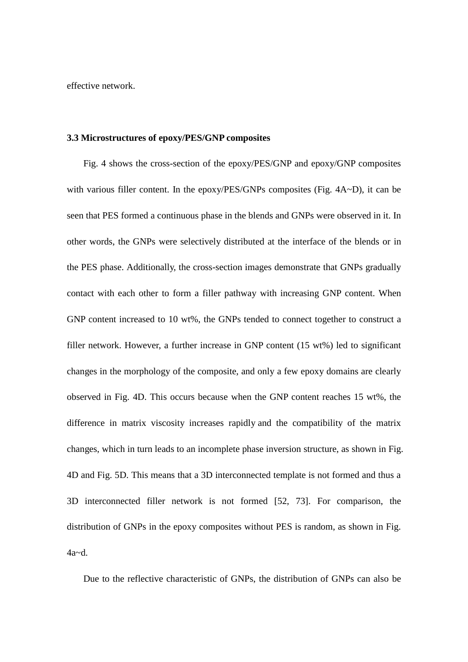effective network.

#### **3.3 Microstructures of epoxy/PES/GNP composites**

Fig. 4 shows the cross-section of the epoxy/PES/GNP and epoxy/GNP composites with various filler content. In the epoxy/PES/GNPs composites (Fig. 4A~D), it can be seen that PES formed a continuous phase in the blends and GNPs were observed in it. In other words, the GNPs were selectively distributed at the interface of the blends or in the PES phase. Additionally, the cross-section images demonstrate that GNPs gradually contact with each other to form a filler pathway with increasing GNP content. When GNP content increased to 10 wt%, the GNPs tended to connect together to construct a filler network. However, a further increase in GNP content (15 wt%) led to significant changes in the morphology of the composite, and only a few epoxy domains are clearly observed in Fig. 4D. This occurs because when the GNP content reaches 15 wt%, the difference in matrix viscosity increases rapidly and the compatibility of the matrix changes, which in turn leads to an incomplete phase inversion structure, as shown in Fig. 4D and Fig. 5D. This means that a 3D interconnected template is not formed and thus a 3D interconnected filler network is not formed [52, 73]. For comparison, the distribution of GNPs in the epoxy composites without PES is random, as shown in Fig. 4a~d.

Due to the reflective characteristic of GNPs, the distribution of GNPs can also be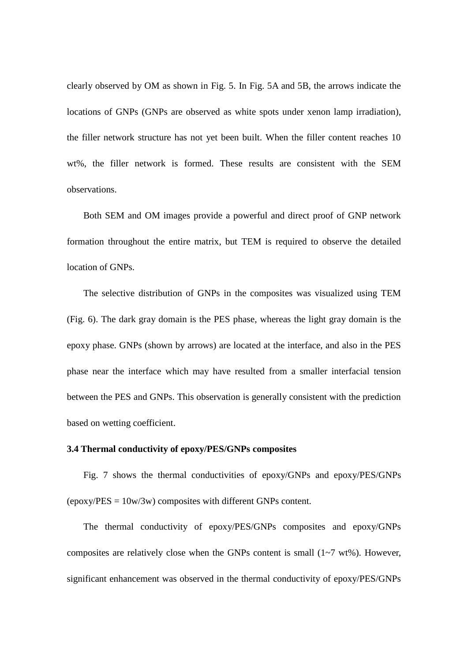clearly observed by OM as shown in Fig. 5. In Fig. 5A and 5B, the arrows indicate the locations of GNPs (GNPs are observed as white spots under xenon lamp irradiation), the filler network structure has not yet been built. When the filler content reaches 10 wt%, the filler network is formed. These results are consistent with the SEM observations.

Both SEM and OM images provide a powerful and direct proof of GNP network formation throughout the entire matrix, but TEM is required to observe the detailed location of GNPs.

The selective distribution of GNPs in the composites was visualized using TEM (Fig. 6). The dark gray domain is the PES phase, whereas the light gray domain is the epoxy phase. GNPs (shown by arrows) are located at the interface, and also in the PES phase near the interface which may have resulted from a smaller interfacial tension between the PES and GNPs. This observation is generally consistent with the prediction based on wetting coefficient.

#### **3.4 Thermal conductivity of epoxy/PES/GNPs composites**

Fig. 7 shows the thermal conductivities of epoxy/GNPs and epoxy/PES/GNPs  $(epoxy/PES = 10w/3w)$  composites with different GNPs content.

The thermal conductivity of epoxy/PES/GNPs composites and epoxy/GNPs composites are relatively close when the GNPs content is small (1~7 wt%). However, significant enhancement was observed in the thermal conductivity of epoxy/PES/GNPs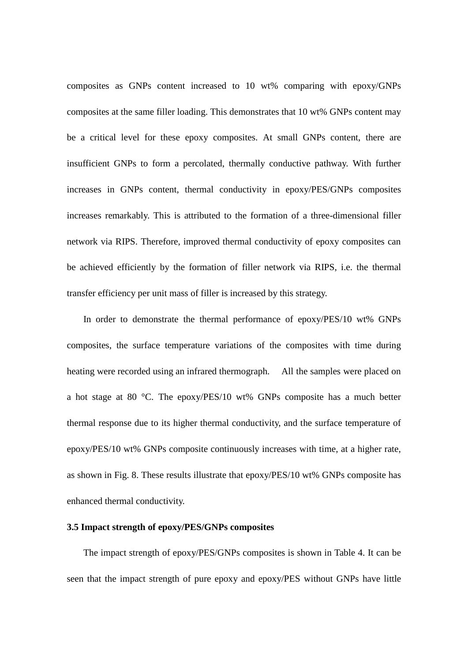composites as GNPs content increased to 10 wt% comparing with epoxy/GNPs composites at the same filler loading. This demonstrates that 10 wt% GNPs content may be a critical level for these epoxy composites. At small GNPs content, there are insufficient GNPs to form a percolated, thermally conductive pathway. With further increases in GNPs content, thermal conductivity in epoxy/PES/GNPs composites increases remarkably. This is attributed to the formation of a three-dimensional filler network via RIPS. Therefore, improved thermal conductivity of epoxy composites can be achieved efficiently by the formation of filler network via RIPS, i.e. the thermal transfer efficiency per unit mass of filler is increased by this strategy.

In order to demonstrate the thermal performance of epoxy/PES/10 wt% GNPs composites, the surface temperature variations of the composites with time during heating were recorded using an infrared thermograph. All the samples were placed on a hot stage at 80 °C. The epoxy/PES/10 wt% GNPs composite has a much better thermal response due to its higher thermal conductivity, and the surface temperature of epoxy/PES/10 wt% GNPs composite continuously increases with time, at a higher rate, as shown in Fig. 8. These results illustrate that epoxy/PES/10 wt% GNPs composite has enhanced thermal conductivity.

### **3.5 Impact strength of epoxy/PES/GNPs composites**

The impact strength of epoxy/PES/GNPs composites is shown in Table 4. It can be seen that the impact strength of pure epoxy and epoxy/PES without GNPs have little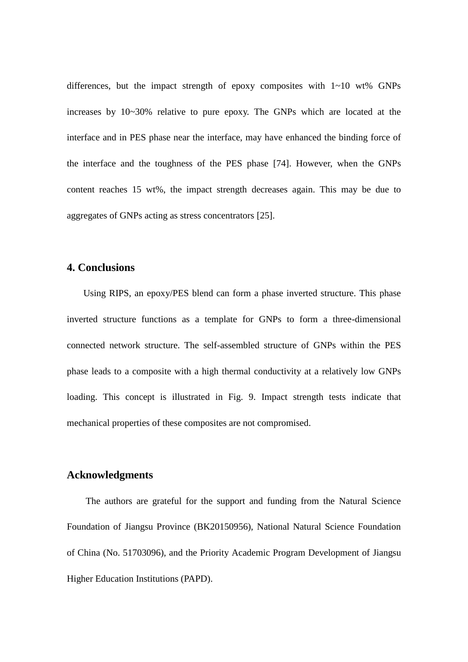differences, but the impact strength of epoxy composites with  $1\nu$ -10 wt% GNPs increases by 10~30% relative to pure epoxy. The GNPs which are located at the interface and in PES phase near the interface, may have enhanced the binding force of the interface and the toughness of the PES phase [74]. However, when the GNPs content reaches 15 wt%, the impact strength decreases again. This may be due to aggregates of GNPs acting as stress concentrators [25].

# **4. Conclusions**

Using RIPS, an epoxy/PES blend can form a phase inverted structure. This phase inverted structure functions as a template for GNPs to form a three-dimensional connected network structure. The self-assembled structure of GNPs within the PES phase leads to a composite with a high thermal conductivity at a relatively low GNPs loading. This concept is illustrated in Fig. 9. Impact strength tests indicate that mechanical properties of these composites are not compromised.

## **Acknowledgments**

The authors are grateful for the support and funding from the Natural Science Foundation of Jiangsu Province (BK20150956), National Natural Science Foundation of China (No. 51703096), and the Priority Academic Program Development of Jiangsu Higher Education Institutions (PAPD).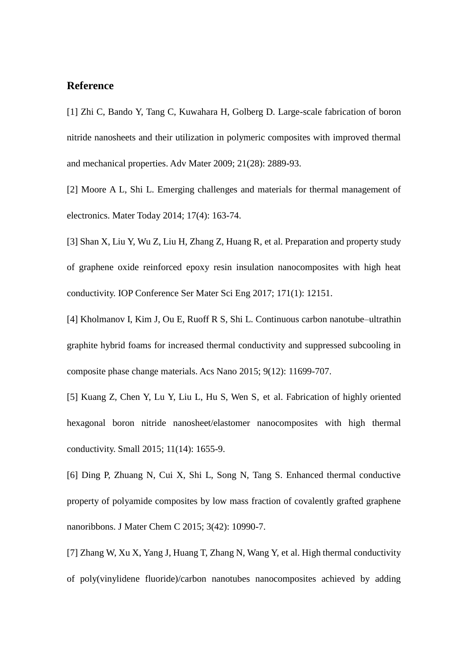# **Reference**

[1] Zhi C, Bando Y, Tang C, Kuwahara H, Golberg D. Large-scale fabrication of boron nitride nanosheets and their utilization in polymeric composites with improved thermal and mechanical properties. Adv Mater 2009; 21(28): 2889-93.

[2] Moore A L, Shi L. Emerging challenges and materials for thermal management of electronics. Mater Today 2014; 17(4): 163-74.

[3] Shan X, Liu Y, Wu Z, Liu H, Zhang Z, Huang R, et al. Preparation and property study of graphene oxide reinforced epoxy resin insulation nanocomposites with high heat conductivity. IOP Conference Ser Mater Sci Eng 2017; 171(1): 12151.

[4] Kholmanov I, Kim J, Ou E, Ruoff R S, Shi L. Continuous carbon nanotube–ultrathin graphite hybrid foams for increased thermal conductivity and suppressed subcooling in composite phase change materials. Acs Nano 2015; 9(12): 11699-707.

[5] Kuang Z, Chen Y, Lu Y, Liu L, Hu S, Wen S, et al. Fabrication of highly oriented hexagonal boron nitride nanosheet/elastomer nanocomposites with high thermal conductivity. Small 2015; 11(14): 1655-9.

[6] Ding P, Zhuang N, Cui X, Shi L, Song N, Tang S. Enhanced thermal conductive property of polyamide composites by low mass fraction of covalently grafted graphene nanoribbons. J Mater Chem C 2015; 3(42): 10990-7.

[7] Zhang W, Xu X, Yang J, Huang T, Zhang N, Wang Y, et al. High thermal conductivity of poly(vinylidene fluoride)/carbon nanotubes nanocomposites achieved by adding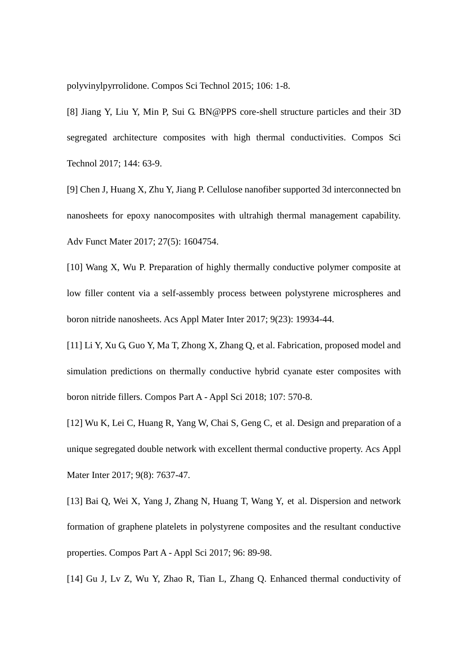polyvinylpyrrolidone. Compos Sci Technol 2015; 106: 1-8.

[8] Jiang Y, Liu Y, Min P, Sui G. BN@PPS core-shell structure particles and their 3D segregated architecture composites with high thermal conductivities. Compos Sci Technol 2017; 144: 63-9.

[9] Chen J, Huang X, Zhu Y, Jiang P. Cellulose nanofiber supported 3d interconnected bn nanosheets for epoxy nanocomposites with ultrahigh thermal management capability. Adv Funct Mater 2017; 27(5): 1604754.

[10] Wang X, Wu P. Preparation of highly thermally conductive polymer composite at low filler content via a self-assembly process between polystyrene microspheres and boron nitride nanosheets. Acs Appl Mater Inter 2017; 9(23): 19934-44.

[11] Li Y, Xu G, Guo Y, Ma T, Zhong X, Zhang Q, et al. Fabrication, proposed model and simulation predictions on thermally conductive hybrid cyanate ester composites with boron nitride fillers. Compos Part A - Appl Sci 2018; 107: 570-8.

[12] Wu K, Lei C, Huang R, Yang W, Chai S, Geng C, et al. Design and preparation of a unique segregated double network with excellent thermal conductive property. Acs Appl Mater Inter 2017; 9(8): 7637-47.

[13] Bai Q, Wei X, Yang J, Zhang N, Huang T, Wang Y, et al. Dispersion and network formation of graphene platelets in polystyrene composites and the resultant conductive properties. Compos Part A - Appl Sci 2017; 96: 89-98.

[14] Gu J, Lv Z, Wu Y, Zhao R, Tian L, Zhang Q. Enhanced thermal conductivity of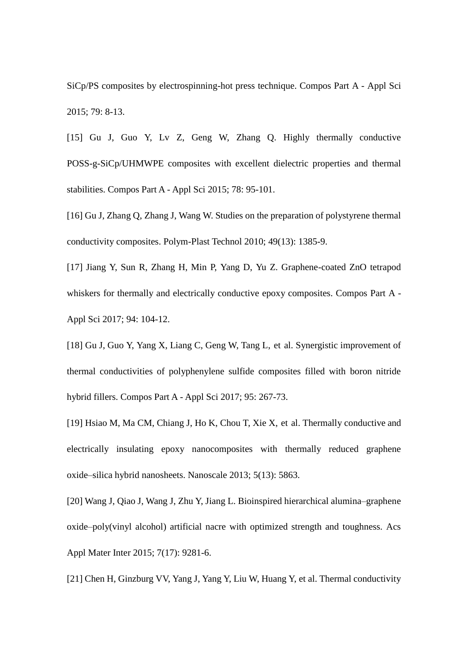SiCp/PS composites by electrospinning-hot press technique. Compos Part A - Appl Sci 2015; 79: 8-13.

[15] Gu J, Guo Y, Lv Z, Geng W, Zhang Q. Highly thermally conductive POSS-g-SiCp/UHMWPE composites with excellent dielectric properties and thermal stabilities. Compos Part A - Appl Sci 2015; 78: 95-101.

[16] Gu J, Zhang Q, Zhang J, Wang W. Studies on the preparation of polystyrene thermal conductivity composites. Polym-Plast Technol 2010; 49(13): 1385-9.

[17] Jiang Y, Sun R, Zhang H, Min P, Yang D, Yu Z. Graphene-coated ZnO tetrapod whiskers for thermally and electrically conductive epoxy composites. Compos Part A - Appl Sci 2017; 94: 104-12.

[18] Gu J, Guo Y, Yang X, Liang C, Geng W, Tang L, et al. Synergistic improvement of thermal conductivities of polyphenylene sulfide composites filled with boron nitride hybrid fillers. Compos Part A - Appl Sci 2017; 95: 267-73.

[19] Hsiao M, Ma CM, Chiang J, Ho K, Chou T, Xie X, et al. Thermally conductive and electrically insulating epoxy nanocomposites with thermally reduced graphene oxide–silica hybrid nanosheets. Nanoscale 2013; 5(13): 5863.

[20] Wang J, Qiao J, Wang J, Zhu Y, Jiang L. Bioinspired hierarchical alumina–graphene oxide–poly(vinyl alcohol) artificial nacre with optimized strength and toughness. Acs Appl Mater Inter 2015; 7(17): 9281-6.

[21] Chen H, Ginzburg VV, Yang J, Yang Y, Liu W, Huang Y, et al. Thermal conductivity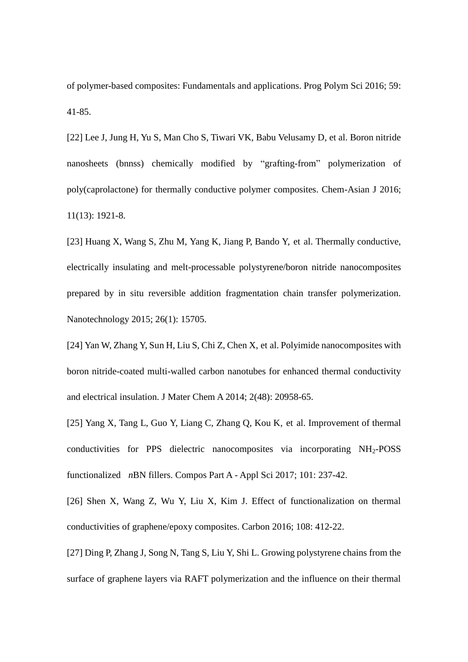of polymer-based composites: Fundamentals and applications. Prog Polym Sci 2016; 59: 41-85.

[22] Lee J, Jung H, Yu S, Man Cho S, Tiwari VK, Babu Velusamy D, et al. Boron nitride nanosheets (bnnss) chemically modified by "grafting-from" polymerization of poly(caprolactone) for thermally conductive polymer composites. Chem-Asian J 2016; 11(13): 1921-8.

[23] Huang X, Wang S, Zhu M, Yang K, Jiang P, Bando Y, et al. Thermally conductive, electrically insulating and melt-processable polystyrene/boron nitride nanocomposites prepared by in situ reversible addition fragmentation chain transfer polymerization. Nanotechnology 2015; 26(1): 15705.

[24] Yan W, Zhang Y, Sun H, Liu S, Chi Z, Chen X, et al. Polyimide nanocomposites with boron nitride-coated multi-walled carbon nanotubes for enhanced thermal conductivity and electrical insulation. J Mater Chem A 2014; 2(48): 20958-65.

[25] Yang X, Tang L, Guo Y, Liang C, Zhang Q, Kou K, et al. Improvement of thermal conductivities for PPS dielectric nanocomposites via incorporating NH2-POSS functionalized *n*BN fillers. Compos Part A - Appl Sci 2017; 101: 237-42.

[26] Shen X, Wang Z, Wu Y, Liu X, Kim J. Effect of functionalization on thermal conductivities of graphene/epoxy composites. Carbon 2016; 108: 412-22.

[27] Ding P, Zhang J, Song N, Tang S, Liu Y, Shi L. Growing polystyrene chains from the surface of graphene layers via RAFT polymerization and the influence on their thermal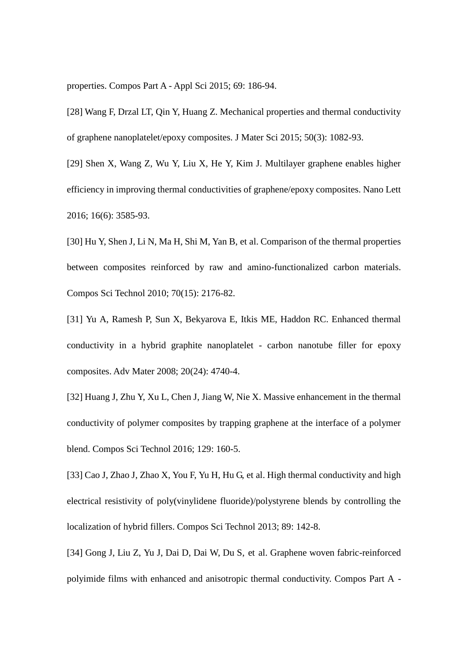properties. Compos Part A - Appl Sci 2015; 69: 186-94.

[28] Wang F, Drzal LT, Qin Y, Huang Z. Mechanical properties and thermal conductivity of graphene nanoplatelet/epoxy composites. J Mater Sci 2015; 50(3): 1082-93.

[29] Shen X, Wang Z, Wu Y, Liu X, He Y, Kim J. Multilayer graphene enables higher efficiency in improving thermal conductivities of graphene/epoxy composites. Nano Lett 2016; 16(6): 3585-93.

[30] Hu Y, Shen J, Li N, Ma H, Shi M, Yan B, et al. Comparison of the thermal properties between composites reinforced by raw and amino-functionalized carbon materials. Compos Sci Technol 2010; 70(15): 2176-82.

[31] Yu A, Ramesh P, Sun X, Bekyarova E, Itkis ME, Haddon RC. Enhanced thermal conductivity in a hybrid graphite nanoplatelet - carbon nanotube filler for epoxy composites. Adv Mater 2008; 20(24): 4740-4.

[32] Huang J, Zhu Y, Xu L, Chen J, Jiang W, Nie X. Massive enhancement in the thermal conductivity of polymer composites by trapping graphene at the interface of a polymer blend. Compos Sci Technol 2016; 129: 160-5.

[33] Cao J, Zhao J, Zhao X, You F, Yu H, Hu G, et al. High thermal conductivity and high electrical resistivity of poly(vinylidene fluoride)/polystyrene blends by controlling the localization of hybrid fillers. Compos Sci Technol 2013; 89: 142-8.

[34] Gong J, Liu Z, Yu J, Dai D, Dai W, Du S, et al. Graphene woven fabric-reinforced polyimide films with enhanced and anisotropic thermal conductivity. Compos Part A -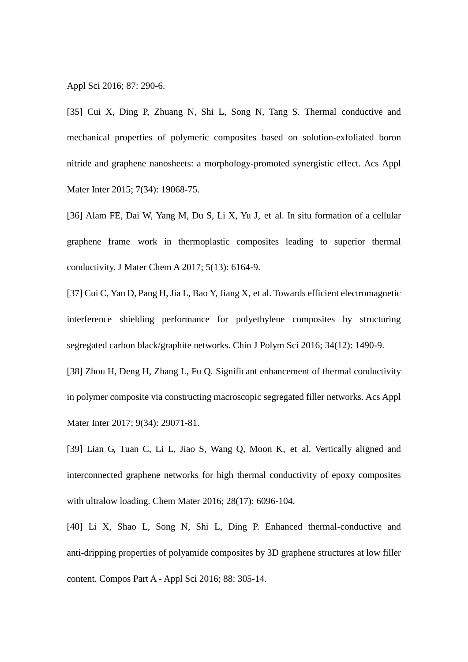Appl Sci 2016; 87: 290-6.

[35] Cui X, Ding P, Zhuang N, Shi L, Song N, Tang S. Thermal conductive and mechanical properties of polymeric composites based on solution-exfoliated boron nitride and graphene nanosheets: a morphology-promoted synergistic effect. Acs Appl Mater Inter 2015; 7(34): 19068-75.

[36] Alam FE, Dai W, Yang M, Du S, Li X, Yu J, et al. In situ formation of a cellular graphene frame work in thermoplastic composites leading to superior thermal conductivity. J Mater Chem A 2017; 5(13): 6164-9.

[37] Cui C, Yan D, Pang H, Jia L, Bao Y, Jiang X, et al. Towards efficient electromagnetic interference shielding performance for polyethylene composites by structuring segregated carbon black/graphite networks. Chin J Polym Sci 2016; 34(12): 1490-9.

[38] Zhou H, Deng H, Zhang L, Fu Q. Significant enhancement of thermal conductivity in polymer composite via constructing macroscopic segregated filler networks. Acs Appl Mater Inter 2017; 9(34): 29071-81.

[39] Lian G, Tuan C, Li L, Jiao S, Wang Q, Moon K, et al. Vertically aligned and interconnected graphene networks for high thermal conductivity of epoxy composites with ultralow loading. Chem Mater 2016; 28(17): 6096-104.

[40] Li X, Shao L, Song N, Shi L, Ding P. Enhanced thermal-conductive and anti-dripping properties of polyamide composites by 3D graphene structures at low filler content. Compos Part A - Appl Sci 2016; 88: 305-14.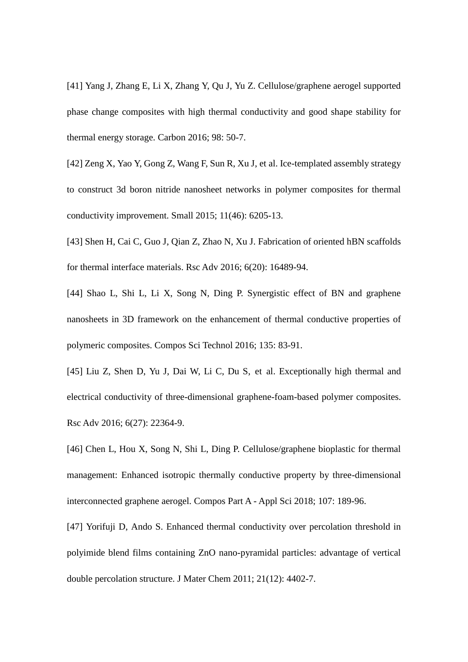[41] Yang J, Zhang E, Li X, Zhang Y, Qu J, Yu Z. Cellulose/graphene aerogel supported phase change composites with high thermal conductivity and good shape stability for thermal energy storage. Carbon 2016; 98: 50-7.

[42] Zeng X, Yao Y, Gong Z, Wang F, Sun R, Xu J, et al. Ice-templated assembly strategy to construct 3d boron nitride nanosheet networks in polymer composites for thermal conductivity improvement. Small 2015; 11(46): 6205-13.

[43] Shen H, Cai C, Guo J, Qian Z, Zhao N, Xu J. Fabrication of oriented hBN scaffolds for thermal interface materials. Rsc Adv 2016; 6(20): 16489-94.

[44] Shao L, Shi L, Li X, Song N, Ding P. Synergistic effect of BN and graphene nanosheets in 3D framework on the enhancement of thermal conductive properties of polymeric composites. Compos Sci Technol 2016; 135: 83-91.

[45] Liu Z, Shen D, Yu J, Dai W, Li C, Du S, et al. Exceptionally high thermal and electrical conductivity of three-dimensional graphene-foam-based polymer composites. Rsc Adv 2016; 6(27): 22364-9.

[46] Chen L, Hou X, Song N, Shi L, Ding P. Cellulose/graphene bioplastic for thermal management: Enhanced isotropic thermally conductive property by three-dimensional interconnected graphene aerogel. Compos Part A - Appl Sci 2018; 107: 189-96.

[47] Yorifuji D, Ando S. Enhanced thermal conductivity over percolation threshold in polyimide blend films containing ZnO nano-pyramidal particles: advantage of vertical double percolation structure. J Mater Chem 2011; 21(12): 4402-7.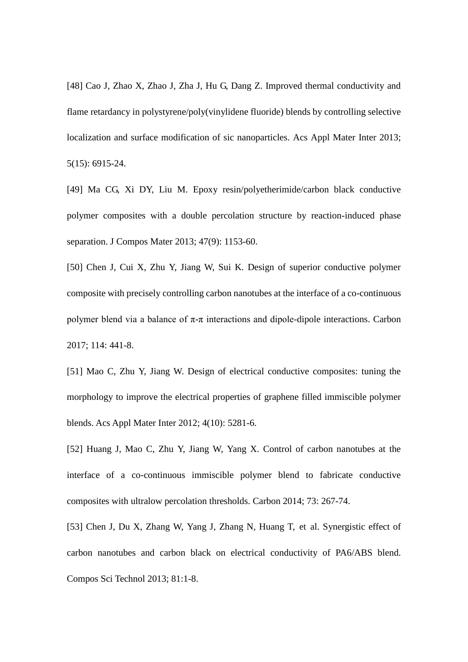[48] Cao J, Zhao X, Zhao J, Zha J, Hu G, Dang Z. Improved thermal conductivity and flame retardancy in polystyrene/poly(vinylidene fluoride) blends by controlling selective localization and surface modification of sic nanoparticles. Acs Appl Mater Inter 2013; 5(15): 6915-24.

[49] Ma CG, Xi DY, Liu M. Epoxy resin/polyetherimide/carbon black conductive polymer composites with a double percolation structure by reaction-induced phase separation. J Compos Mater 2013; 47(9): 1153-60.

[50] Chen J, Cui X, Zhu Y, Jiang W, Sui K. Design of superior conductive polymer composite with precisely controlling carbon nanotubes at the interface of a co-continuous polymer blend via a balance of  $\pi$ - $\pi$  interactions and dipole-dipole interactions. Carbon 2017; 114: 441-8.

[51] Mao C, Zhu Y, Jiang W. Design of electrical conductive composites: tuning the morphology to improve the electrical properties of graphene filled immiscible polymer blends. Acs Appl Mater Inter 2012; 4(10): 5281-6.

[52] Huang J, Mao C, Zhu Y, Jiang W, Yang X. Control of carbon nanotubes at the interface of a co-continuous immiscible polymer blend to fabricate conductive composites with ultralow percolation thresholds. Carbon 2014; 73: 267-74.

[53] Chen J, Du X, Zhang W, Yang J, Zhang N, Huang T, et al. Synergistic effect of carbon nanotubes and carbon black on electrical conductivity of PA6/ABS blend. Compos Sci Technol 2013; 81:1-8.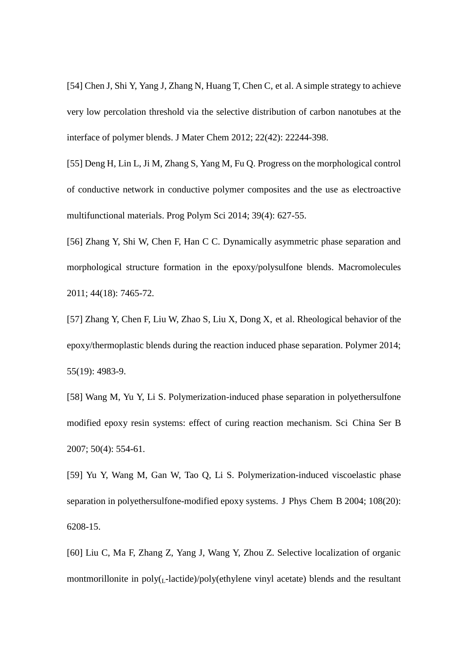[54] Chen J, Shi Y, Yang J, Zhang N, Huang T, Chen C, et al. A simple strategy to achieve very low percolation threshold via the selective distribution of carbon nanotubes at the interface of polymer blends. J Mater Chem 2012; 22(42): 22244-398.

[55] Deng H, Lin L, Ji M, Zhang S, Yang M, Fu Q. Progress on the morphological control of conductive network in conductive polymer composites and the use as electroactive multifunctional materials. Prog Polym Sci 2014; 39(4): 627-55.

[56] Zhang Y, Shi W, Chen F, Han C C. Dynamically asymmetric phase separation and morphological structure formation in the epoxy/polysulfone blends. Macromolecules 2011; 44(18): 7465-72.

[57] Zhang Y, Chen F, Liu W, Zhao S, Liu X, Dong X, et al. Rheological behavior of the epoxy/thermoplastic blends during the reaction induced phase separation. Polymer 2014; 55(19): 4983-9.

[58] Wang M, Yu Y, Li S. Polymerization-induced phase separation in polyethersulfone modified epoxy resin systems: effect of curing reaction mechanism. Sci China Ser B 2007; 50(4): 554-61.

[59] Yu Y, Wang M, Gan W, Tao Q, Li S. Polymerization-induced viscoelastic phase separation in polyethersulfone-modified epoxy systems. J Phys Chem B 2004; 108(20): 6208-15.

[60] Liu C, Ma F, Zhang Z, Yang J, Wang Y, Zhou Z. Selective localization of organic montmorillonite in  $poly_{1}$ -lactide)/poly(ethylene vinyl acetate) blends and the resultant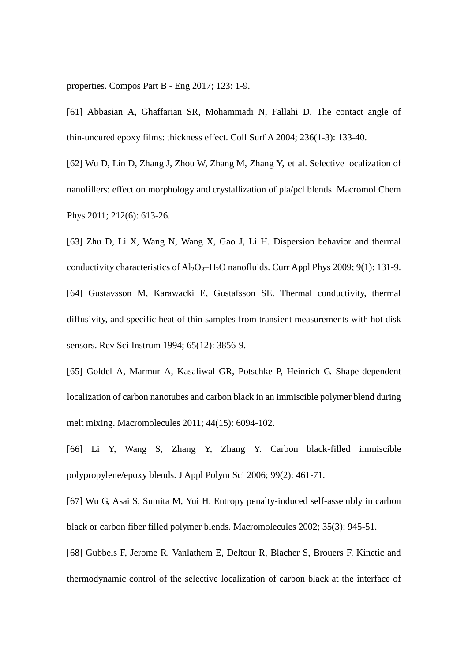properties. Compos Part B - Eng 2017; 123: 1-9.

[61] Abbasian A, Ghaffarian SR, Mohammadi N, Fallahi D. The contact angle of thin-uncured epoxy films: thickness effect. Coll Surf A 2004; 236(1-3): 133-40.

[62] Wu D, Lin D, Zhang J, Zhou W, Zhang M, Zhang Y, et al. Selective localization of nanofillers: effect on morphology and crystallization of pla/pcl blends. Macromol Chem Phys 2011; 212(6): 613-26.

[63] Zhu D, Li X, Wang N, Wang X, Gao J, Li H. Dispersion behavior and thermal conductivity characteristics of  $Al_2O_3-H_2O$  nanofluids. Curr Appl Phys 2009; 9(1): 131-9. [64] Gustavsson M, Karawacki E, Gustafsson SE. Thermal conductivity, thermal diffusivity, and specific heat of thin samples from transient measurements with hot disk sensors. Rev Sci Instrum 1994; 65(12): 3856-9.

[65] Goldel A, Marmur A, Kasaliwal GR, Potschke P, Heinrich G. Shape-dependent localization of carbon nanotubes and carbon black in an immiscible polymer blend during melt mixing. Macromolecules 2011; 44(15): 6094-102.

[66] Li Y, Wang S, Zhang Y, Zhang Y. Carbon black-filled immiscible polypropylene/epoxy blends. J Appl Polym Sci 2006; 99(2): 461-71.

[67] Wu G, Asai S, Sumita M, Yui H. Entropy penalty-induced self-assembly in carbon black or carbon fiber filled polymer blends. Macromolecules 2002; 35(3): 945-51.

[68] Gubbels F, Jerome R, Vanlathem E, Deltour R, Blacher S, Brouers F. Kinetic and thermodynamic control of the selective localization of carbon black at the interface of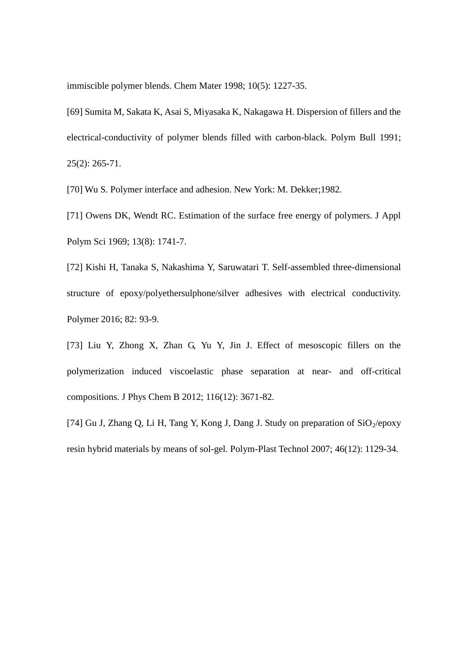immiscible polymer blends. Chem Mater 1998; 10(5): 1227-35.

[69] Sumita M, Sakata K, Asai S, Miyasaka K, Nakagawa H. Dispersion of fillers and the electrical-conductivity of polymer blends filled with carbon-black. Polym Bull 1991; 25(2): 265-71.

[70] Wu S. Polymer interface and adhesion. New York: M. Dekker;1982.

[71] Owens DK, Wendt RC. Estimation of the surface free energy of polymers. J Appl Polym Sci 1969; 13(8): 1741-7.

[72] Kishi H, Tanaka S, Nakashima Y, Saruwatari T. Self-assembled three-dimensional structure of epoxy/polyethersulphone/silver adhesives with electrical conductivity. Polymer 2016; 82: 93-9.

[73] Liu Y, Zhong X, Zhan G, Yu Y, Jin J. Effect of mesoscopic fillers on the polymerization induced viscoelastic phase separation at near- and off-critical compositions. J Phys Chem B 2012; 116(12): 3671-82.

[74] Gu J, Zhang Q, Li H, Tang Y, Kong J, Dang J. Study on preparation of  $SiO_2/epoxy$ resin hybrid materials by means of sol-gel. Polym-Plast Technol 2007; 46(12): 1129-34.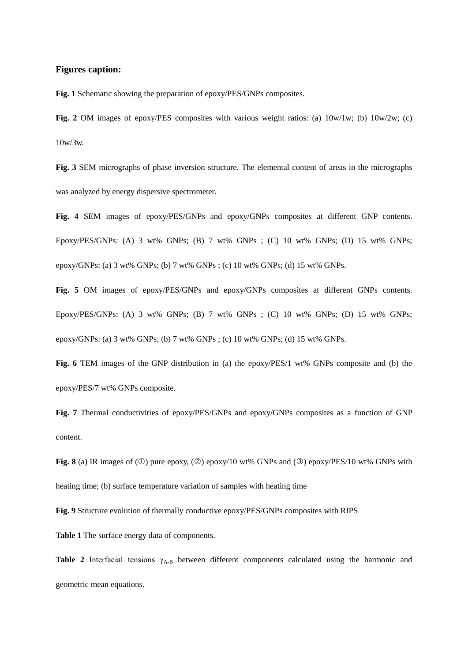### **Figures caption:**

**Fig. 1** Schematic showing the preparation of epoxy/PES/GNPs composites.

Fig. 2 OM images of epoxy/PES composites with various weight ratios: (a)  $10w/1w$ ; (b)  $10w/2w$ ; (c) 10w/3w.

**Fig. 3** SEM micrographs of phase inversion structure. The elemental content of areas in the micrographs was analyzed by energy dispersive spectrometer.

**Fig. 4** SEM images of epoxy/PES/GNPs and epoxy/GNPs composites at different GNP contents. Epoxy/PES/GNPs: (A) 3 wt% GNPs; (B) 7 wt% GNPs ; (C) 10 wt% GNPs; (D) 15 wt% GNPs; epoxy/GNPs: (a) 3 wt% GNPs; (b) 7 wt% GNPs ; (c) 10 wt% GNPs; (d) 15 wt% GNPs.

**Fig. 5** OM images of epoxy/PES/GNPs and epoxy/GNPs composites at different GNPs contents. Epoxy/PES/GNPs: (A) 3 wt% GNPs; (B) 7 wt% GNPs ; (C) 10 wt% GNPs; (D) 15 wt% GNPs; epoxy/GNPs: (a) 3 wt% GNPs; (b) 7 wt% GNPs ; (c) 10 wt% GNPs; (d) 15 wt% GNPs.

**Fig. 6** TEM images of the GNP distribution in (a) the epoxy/PES/1 wt% GNPs composite and (b) the epoxy/PES/7 wt% GNPs composite.

**Fig. 7** Thermal conductivities of epoxy/PES/GNPs and epoxy/GNPs composites as a function of GNP content.

**Fig. 8** (a) IR images of  $(\mathbb{O})$  pure epoxy,  $(\mathbb{O})$  epoxy/10 wt% GNPs and  $(\mathbb{O})$  epoxy/PES/10 wt% GNPs with heating time; (b) surface temperature variation of samples with heating time

**Fig. 9** Structure evolution of thermally conductive epoxy/PES/GNPs composites with RIPS

**Table 1** The surface energy data of components.

**Table 2** Interfacial tensions  $\gamma_{A-B}$  between different components calculated using the harmonic and geometric mean equations.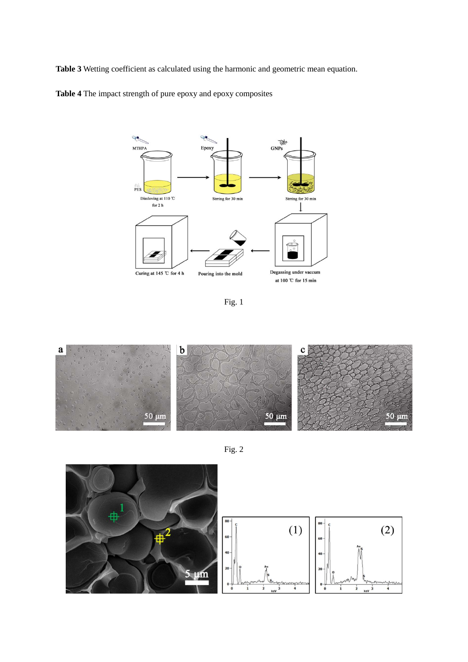**Table 3** Wetting coefficient as calculated using the harmonic and geometric mean equation.

**Table 4** The impact strength of pure epoxy and epoxy composites



Fig. 1



Fig. 2

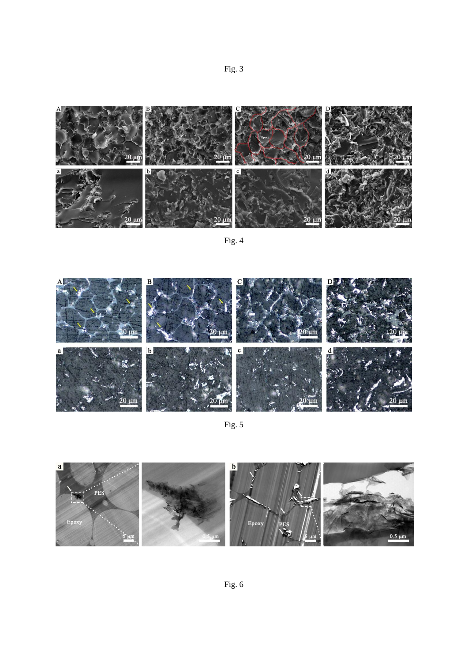



Fig. 4



Fig. 5

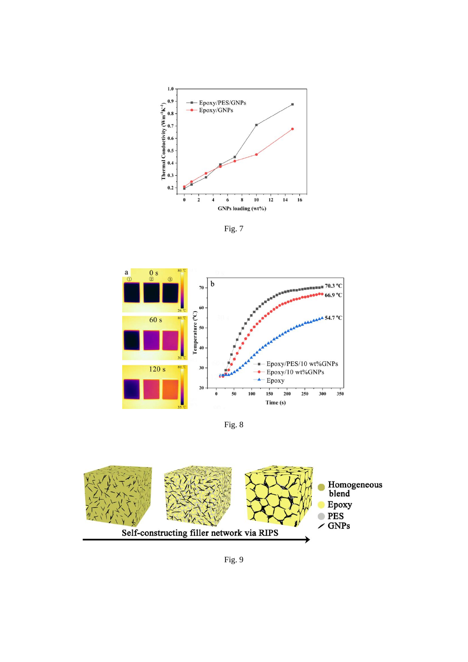

Fig. 7



Fig. 8



Fig. 9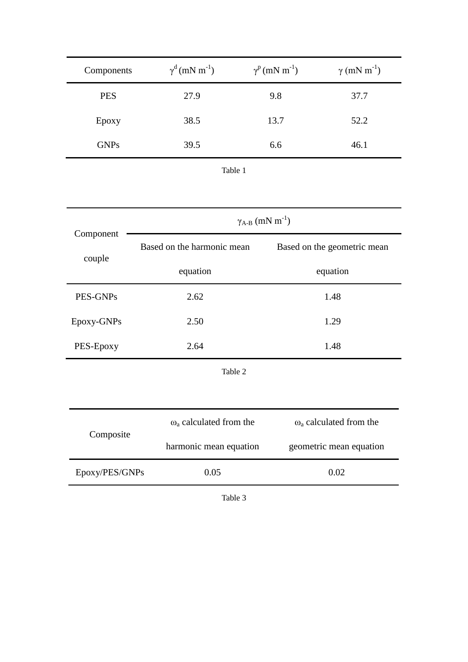| Components  | $\gamma^d$ (mN m <sup>-1</sup> ) | $\gamma^{\rm p}$ (mN m <sup>-1</sup> ) | $\gamma$ (mN m <sup>-1</sup> ) |
|-------------|----------------------------------|----------------------------------------|--------------------------------|
| <b>PES</b>  | 27.9                             | 9.8                                    | 37.7                           |
| Epoxy       | 38.5                             | 13.7                                   | 52.2                           |
| <b>GNPs</b> | 39.5                             | 6.6                                    | 46.1                           |
|             |                                  |                                        |                                |

| v.<br>٧<br>۰.<br>٠<br>٠<br>× |
|------------------------------|
|------------------------------|

|                     | $\gamma_{A-B}$ (mN m <sup>-1</sup> )      |                                           |  |  |  |
|---------------------|-------------------------------------------|-------------------------------------------|--|--|--|
| Component<br>couple | Based on the harmonic mean                | Based on the geometric mean               |  |  |  |
|                     | equation                                  | equation                                  |  |  |  |
| PES-GNPs            | 2.62                                      | 1.48                                      |  |  |  |
| Epoxy-GNPs          | 2.50                                      | 1.29                                      |  |  |  |
| PES-Epoxy           | 2.64                                      | 1.48                                      |  |  |  |
| Table 2             |                                           |                                           |  |  |  |
|                     |                                           |                                           |  |  |  |
| Composite           | $\omega$ <sub>a</sub> calculated from the | $\omega$ <sub>a</sub> calculated from the |  |  |  |
|                     | harmonic mean equation                    | geometric mean equation                   |  |  |  |
| Epoxy/PES/GNPs      | 0.05                                      | 0.02                                      |  |  |  |

Table 3